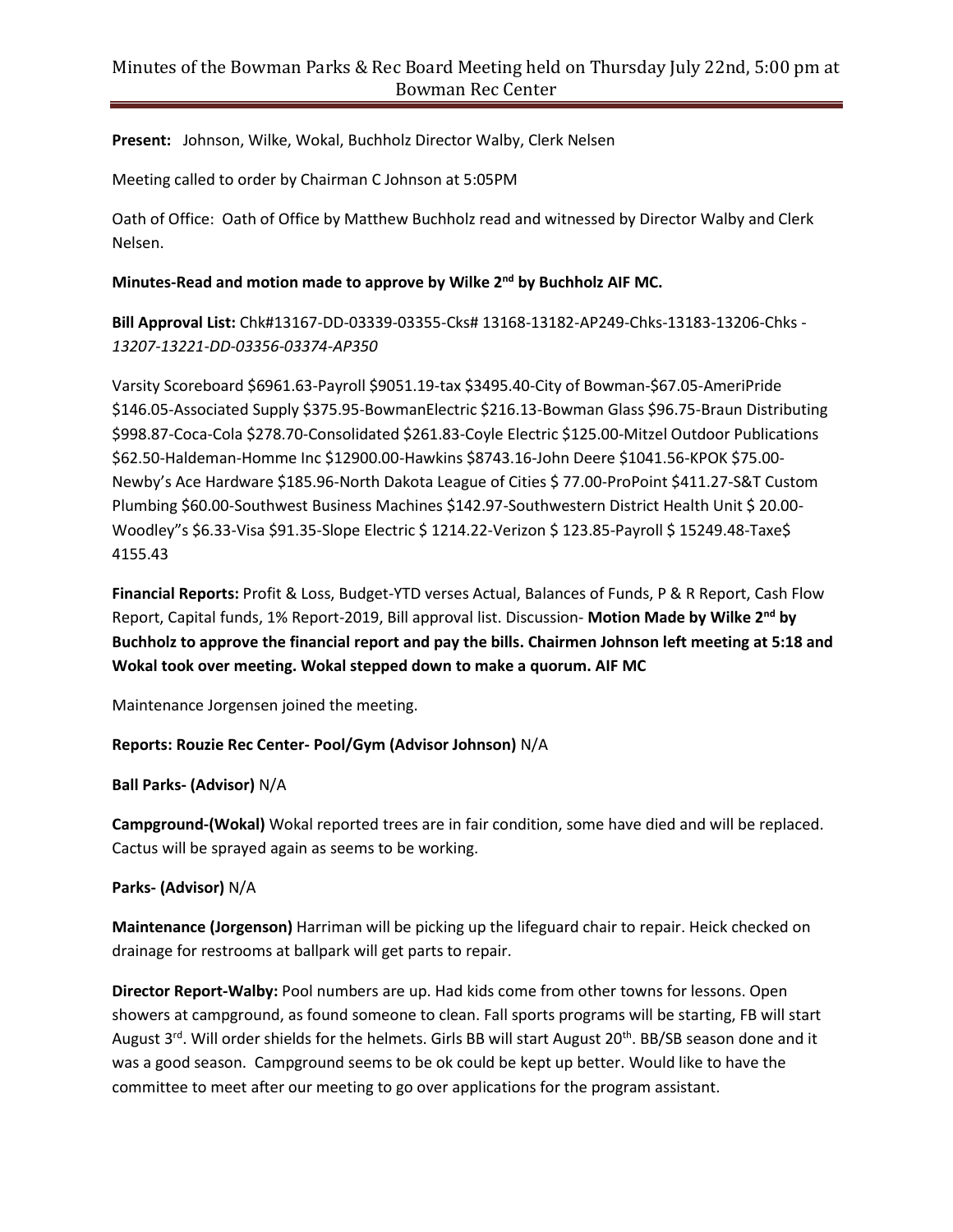**Present:** Johnson, Wilke, Wokal, Buchholz Director Walby, Clerk Nelsen

Meeting called to order by Chairman C Johnson at 5:05PM

Oath of Office: Oath of Office by Matthew Buchholz read and witnessed by Director Walby and Clerk Nelsen.

## **Minutes-Read and motion made to approve by Wilke 2nd by Buchholz AIF MC.**

**Bill Approval List:** Chk#13167-DD-03339-03355-Cks# 13168-13182-AP249-Chks-13183-13206-Chks - *13207-13221-DD-03356-03374-AP350*

Varsity Scoreboard \$6961.63-Payroll \$9051.19-tax \$3495.40-City of Bowman-\$67.05-AmeriPride \$146.05-Associated Supply \$375.95-BowmanElectric \$216.13-Bowman Glass \$96.75-Braun Distributing \$998.87-Coca-Cola \$278.70-Consolidated \$261.83-Coyle Electric \$125.00-Mitzel Outdoor Publications \$62.50-Haldeman-Homme Inc \$12900.00-Hawkins \$8743.16-John Deere \$1041.56-KPOK \$75.00- Newby's Ace Hardware \$185.96-North Dakota League of Cities \$ 77.00-ProPoint \$411.27-S&T Custom Plumbing \$60.00-Southwest Business Machines \$142.97-Southwestern District Health Unit \$ 20.00- Woodley"s \$6.33-Visa \$91.35-Slope Electric \$ 1214.22-Verizon \$ 123.85-Payroll \$ 15249.48-Taxe\$ 4155.43

**Financial Reports:** Profit & Loss, Budget-YTD verses Actual, Balances of Funds, P & R Report, Cash Flow Report, Capital funds, 1% Report-2019, Bill approval list. Discussion- **Motion Made by Wilke 2nd by Buchholz to approve the financial report and pay the bills. Chairmen Johnson left meeting at 5:18 and Wokal took over meeting. Wokal stepped down to make a quorum. AIF MC**

Maintenance Jorgensen joined the meeting.

### **Reports: Rouzie Rec Center- Pool/Gym (Advisor Johnson)** N/A

#### **Ball Parks- (Advisor)** N/A

**Campground-(Wokal)** Wokal reported trees are in fair condition, some have died and will be replaced. Cactus will be sprayed again as seems to be working.

#### **Parks- (Advisor)** N/A

**Maintenance (Jorgenson)** Harriman will be picking up the lifeguard chair to repair. Heick checked on drainage for restrooms at ballpark will get parts to repair.

**Director Report-Walby:** Pool numbers are up. Had kids come from other towns for lessons. Open showers at campground, as found someone to clean. Fall sports programs will be starting, FB will start August 3<sup>rd</sup>. Will order shields for the helmets. Girls BB will start August 20<sup>th</sup>. BB/SB season done and it was a good season. Campground seems to be ok could be kept up better. Would like to have the committee to meet after our meeting to go over applications for the program assistant.